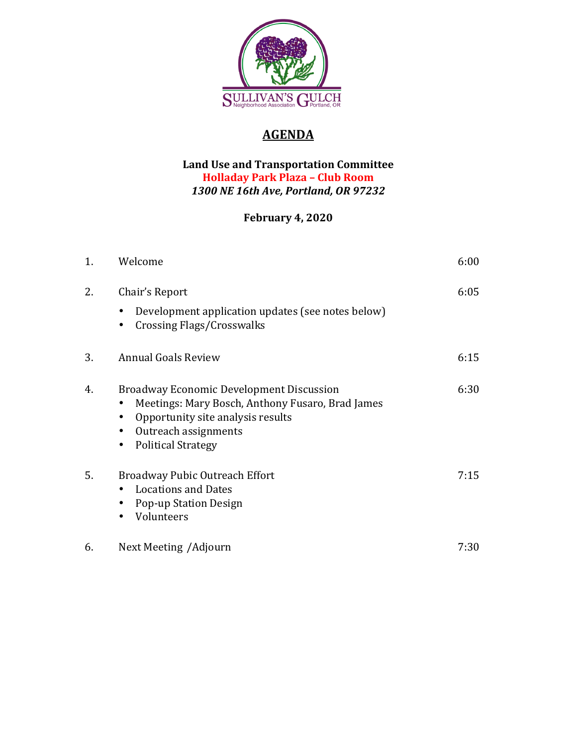

## **AGENDA**

## Land Use and Transportation Committee **Holladay Park Plaza – Club Room** *1300 NE 16th Ave, Portland, OR 97232*

## **February 4, 2020**

| 1. | Welcome                                                                                                                                                                                       | 6:00 |
|----|-----------------------------------------------------------------------------------------------------------------------------------------------------------------------------------------------|------|
| 2. | Chair's Report<br>Development application updates (see notes below)<br><b>Crossing Flags/Crosswalks</b>                                                                                       | 6:05 |
| 3. | <b>Annual Goals Review</b>                                                                                                                                                                    | 6:15 |
| 4. | <b>Broadway Economic Development Discussion</b><br>Meetings: Mary Bosch, Anthony Fusaro, Brad James<br>Opportunity site analysis results<br>Outreach assignments<br><b>Political Strategy</b> | 6:30 |
| 5. | Broadway Pubic Outreach Effort<br><b>Locations and Dates</b><br>Pop-up Station Design<br>Volunteers                                                                                           | 7:15 |
| 6. | Next Meeting / Adjourn                                                                                                                                                                        | 7:30 |